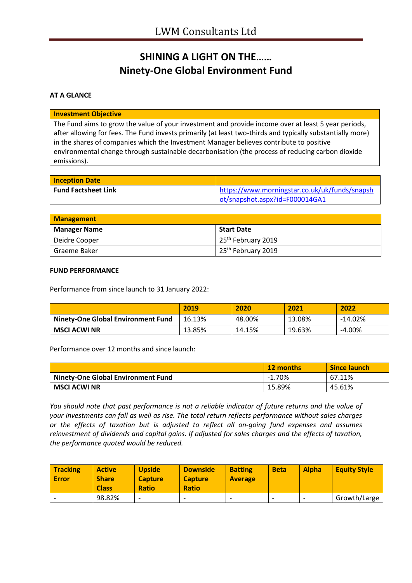## **SHINING A LIGHT ON THE…… Ninety-One Global Environment Fund**

### **AT A GLANCE**

#### **Investment Objective**

The Fund aims to grow the value of your investment and provide income over at least 5 year periods, after allowing for fees. The Fund invests primarily (at least two-thirds and typically substantially more) in the shares of companies which the Investment Manager believes contribute to positive environmental change through sustainable decarbonisation (the process of reducing carbon dioxide emissions).

| <b>Inception Date</b>      |                                               |
|----------------------------|-----------------------------------------------|
| <b>Fund Factsheet Link</b> | https://www.morningstar.co.uk/uk/funds/snapsh |
|                            | ot/snapshot.aspx?id=F000014GA1                |

| <b>Management</b>   |                                 |
|---------------------|---------------------------------|
| <b>Manager Name</b> | <b>Start Date</b>               |
| Deidre Cooper       | 125 <sup>th</sup> February 2019 |
| Graeme Baker        | 25 <sup>th</sup> February 2019  |

#### **FUND PERFORMANCE**

Performance from since launch to 31 January 2022:

|                                           | 2019   | 2020   | 2021   | 2022      |
|-------------------------------------------|--------|--------|--------|-----------|
| <b>Ninety-One Global Environment Fund</b> | 16.13% | 48.00% | 13.08% | $-14.02%$ |
| <b>MSCI ACWI NR</b>                       | 13.85% | 14.15% | 19.63% | $-4.00%$  |

Performance over 12 months and since launch:

|                                           | 12 months | <b>Since launch</b> |
|-------------------------------------------|-----------|---------------------|
| <b>Ninety-One Global Environment Fund</b> | $-1.70%$  | 67.11%              |
| <b>MSCI ACWI NR</b>                       | 15.89%    | 45.61%              |

*You should note that past performance is not a reliable indicator of future returns and the value of your investments can fall as well as rise. The total return reflects performance without sales charges or the effects of taxation but is adjusted to reflect all on-going fund expenses and assumes reinvestment of dividends and capital gains. If adjusted for sales charges and the effects of taxation, the performance quoted would be reduced.*

| <b>Tracking</b><br><b>Error</b> | <b>Active</b><br><b>Share</b><br><b>Class</b> | <b>Upside</b><br><b>Capture</b><br><b>Ratio</b> | <b>Downside</b><br><b>Capture</b><br><b>Ratio</b> | <b>Batting</b><br><b>Average</b> | <b>Beta</b> | <b>Alpha</b>             | <b>Equity Style</b> |
|---------------------------------|-----------------------------------------------|-------------------------------------------------|---------------------------------------------------|----------------------------------|-------------|--------------------------|---------------------|
|                                 | 98.82%                                        | -                                               | $\overline{\phantom{0}}$                          | $\overline{\phantom{0}}$         |             | $\overline{\phantom{0}}$ | Growth/Large        |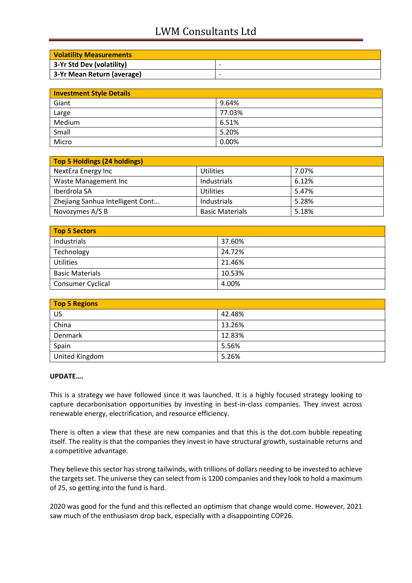# LWM Consultants Ltd

| <b>Volatility Measurements</b> |                          |
|--------------------------------|--------------------------|
| 3-Yr Std Dev (volatility)      | $\overline{\phantom{0}}$ |
| 3-Yr Mean Return (average)     | $\overline{\phantom{0}}$ |

| <b>Investment Style Details</b> |        |  |
|---------------------------------|--------|--|
| Giant                           | 9.64%  |  |
| Large                           | 77.03% |  |
| Medium                          | 6.51%  |  |
| Small                           | 5.20%  |  |
| Micro                           | 0.00%  |  |

| Top 5 Holdings (24 holdings)     |                        |       |
|----------------------------------|------------------------|-------|
| NextEra Energy Inc               | <b>Utilities</b>       | 7.07% |
| Waste Management Inc             | Industrials            | 6.12% |
| Iberdrola SA                     | Utilities              | 5.47% |
| Zhejiang Sanhua Intelligent Cont | Industrials            | 5.28% |
| Novozymes A/S B                  | <b>Basic Materials</b> | 5.18% |

| Top 5 Sectors          |        |  |
|------------------------|--------|--|
| Industrials            | 37.60% |  |
| Technology             | 24.72% |  |
| <b>Utilities</b>       | 21.46% |  |
| <b>Basic Materials</b> | 10.53% |  |
| Consumer Cyclical      | 4.00%  |  |

| <b>Top 5 Regions</b> |        |
|----------------------|--------|
| US                   | 42.48% |
| China                | 13.26% |
| Denmark              | 12.83% |
| Spain                | 5.56%  |
| United Kingdom       | 5.26%  |

### **UPDATE….**

This is a strategy we have followed since it was launched. It is a highly focused strategy looking to capture decarbonisation opportunities by investing in best-in-class companies. They invest across renewable energy, electrification, and resource efficiency.

There is often a view that these are new companies and that this is the dot.com bubble repeating itself. The reality is that the companies they invest in have structural growth, sustainable returns and a competitive advantage.

They believe this sector has strong tailwinds, with trillions of dollars needing to be invested to achieve the targets set. The universe they can select from is 1200 companies and they look to hold a maximum of 25, so getting into the fund is hard.

2020 was good for the fund and this reflected an optimism that change would come. However, 2021 saw much of the enthusiasm drop back, especially with a disappointing COP26.